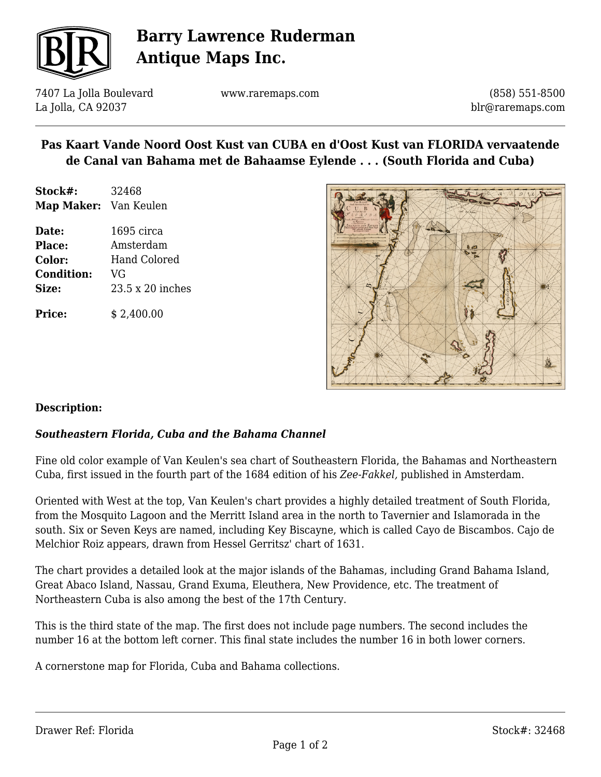

# **Barry Lawrence Ruderman Antique Maps Inc.**

7407 La Jolla Boulevard La Jolla, CA 92037

www.raremaps.com

(858) 551-8500 blr@raremaps.com

### **Pas Kaart Vande Noord Oost Kust van CUBA en d'Oost Kust van FLORIDA vervaatende de Canal van Bahama met de Bahaamse Eylende . . . (South Florida and Cuba)**

- **Stock#:** 32468 **Map Maker:** Van Keulen
- **Date:** 1695 circa **Place:** Amsterdam **Color:** Hand Colored **Condition:** VG **Size:** 23.5 x 20 inches

**Price:**  $$ 2.400.00$ 



#### **Description:**

#### *Southeastern Florida, Cuba and the Bahama Channel*

Fine old color example of Van Keulen's sea chart of Southeastern Florida, the Bahamas and Northeastern Cuba, first issued in the fourth part of the 1684 edition of his *Zee-Fakkel,* published in Amsterdam.

Oriented with West at the top, Van Keulen's chart provides a highly detailed treatment of South Florida, from the Mosquito Lagoon and the Merritt Island area in the north to Tavernier and Islamorada in the south. Six or Seven Keys are named, including Key Biscayne, which is called Cayo de Biscambos. Cajo de Melchior Roiz appears, drawn from Hessel Gerritsz' chart of 1631.

The chart provides a detailed look at the major islands of the Bahamas, including Grand Bahama Island, Great Abaco Island, Nassau, Grand Exuma, Eleuthera, New Providence, etc. The treatment of Northeastern Cuba is also among the best of the 17th Century.

This is the third state of the map. The first does not include page numbers. The second includes the number 16 at the bottom left corner. This final state includes the number 16 in both lower corners.

A cornerstone map for Florida, Cuba and Bahama collections.